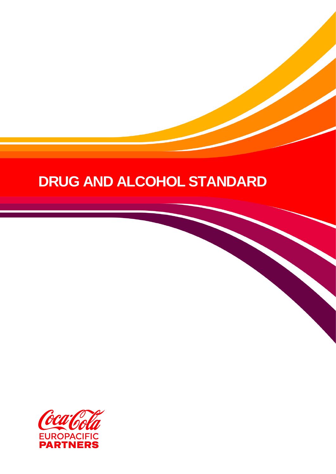# **DRUG AND ALCOHOL STANDARD**



**April 20**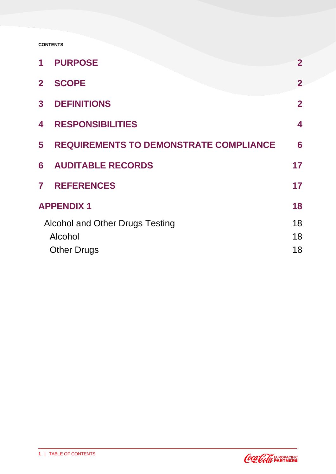#### **CONTENTS**

| 1              | <b>PURPOSE</b>                                | $\overline{2}$ |
|----------------|-----------------------------------------------|----------------|
| $\overline{2}$ | <b>SCOPE</b>                                  | $\overline{2}$ |
| 3 <sup>1</sup> | <b>DEFINITIONS</b>                            | $\overline{2}$ |
| 4              | <b>RESPONSIBILITIES</b>                       | 4              |
| 5              | <b>REQUIREMENTS TO DEMONSTRATE COMPLIANCE</b> | 6              |
| 6              | <b>AUDITABLE RECORDS</b>                      | 17             |
|                | <b>7 REFERENCES</b>                           | 17             |
|                | <b>APPENDIX1</b>                              | 18             |
|                | Alcohol and Other Drugs Testing               | 18             |
|                | Alcohol                                       | 18             |
|                | <b>Other Drugs</b>                            | 18             |

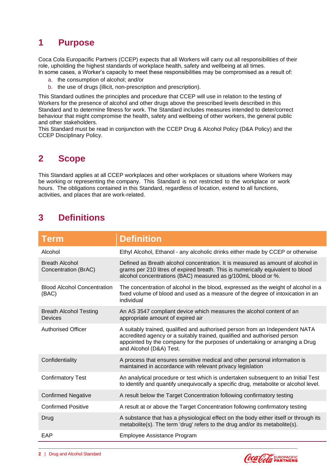## <span id="page-3-0"></span>**1 Purpose**

Coca Cola Europacific Partners (CCEP) expects that all Workers will carry out all responsibilities of their role, upholding the highest standards of workplace health, safety and wellbeing at all times. In some cases, a Worker's capacity to meet these responsibilities may be compromised as a result of:

- a. the consumption of alcohol; and/or
- b. the use of drugs (illicit, non-prescription and prescription).

This Standard outlines the principles and procedure that CCEP will use in relation to the testing of Workers for the presence of alcohol and other drugs above the prescribed levels described in this Standard and to determine fitness for work. The Standard includes measures intended to deter/correct behaviour that might compromise the health, safety and wellbeing of other workers, the general public and other stakeholders.

<span id="page-3-1"></span>This Standard must be read in conjunction with the CCEP Drug & Alcohol Policy (D&A Policy) and the CCEP Disciplinary Policy.

## **2 Scope**

This Standard applies at all CCEP workplaces and other workplaces or situations where Workers may be working or representing the company. This Standard is not restricted to the workplace or work hours. The obligations contained in this Standard, regardless of location, extend to all functions, activities, and places that are work-related.

## <span id="page-3-2"></span>**3 Definitions**

| <b>Term</b>                                   | <b>Definition</b>                                                                                                                                                                                                                                                   |
|-----------------------------------------------|---------------------------------------------------------------------------------------------------------------------------------------------------------------------------------------------------------------------------------------------------------------------|
| Alcohol                                       | Ethyl Alcohol, Ethanol - any alcoholic drinks either made by CCEP or otherwise                                                                                                                                                                                      |
| <b>Breath Alcohol</b><br>Concentration (BrAC) | Defined as Breath alcohol concentration. It is measured as amount of alcohol in<br>grams per 210 litres of expired breath. This is numerically equivalent to blood<br>alcohol concentrations (BAC) measured as g/100mL blood or %.                                  |
| <b>Blood Alcohol Concentration</b><br>(BAC)   | The concentration of alcohol in the blood, expressed as the weight of alcohol in a<br>fixed volume of blood and used as a measure of the degree of intoxication in an<br>individual                                                                                 |
| <b>Breath Alcohol Testing</b><br>Devices      | An AS 3547 compliant device which measures the alcohol content of an<br>appropriate amount of expired air                                                                                                                                                           |
| <b>Authorised Officer</b>                     | A suitably trained, qualified and authorised person from an Independent NATA<br>accredited agency or a suitably trained, qualified and authorised person<br>appointed by the company for the purposes of undertaking or arranging a Drug<br>and Alcohol (D&A) Test. |
| Confidentiality                               | A process that ensures sensitive medical and other personal information is<br>maintained in accordance with relevant privacy legislation                                                                                                                            |
| <b>Confirmatory Test</b>                      | An analytical procedure or test which is undertaken subsequent to an Initial Test<br>to identify and quantify unequivocally a specific drug, metabolite or alcohol level.                                                                                           |
| <b>Confirmed Negative</b>                     | A result below the Target Concentration following confirmatory testing                                                                                                                                                                                              |
| <b>Confirmed Positive</b>                     | A result at or above the Target Concentration following confirmatory testing                                                                                                                                                                                        |
| Drug                                          | A substance that has a physiological effect on the body either itself or through its<br>metabolite(s). The term 'drug' refers to the drug and/or its metabolite(s).                                                                                                 |
| EAP                                           | Employee Assistance Program                                                                                                                                                                                                                                         |

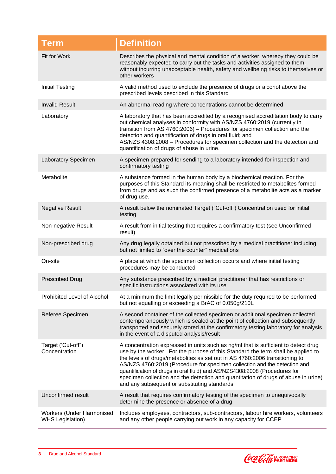| <b>Term</b>                                          | <b>Definition</b>                                                                                                                                                                                                                                                                                                                                                                                                                                                                                                                                      |
|------------------------------------------------------|--------------------------------------------------------------------------------------------------------------------------------------------------------------------------------------------------------------------------------------------------------------------------------------------------------------------------------------------------------------------------------------------------------------------------------------------------------------------------------------------------------------------------------------------------------|
| Fit for Work                                         | Describes the physical and mental condition of a worker, whereby they could be<br>reasonably expected to carry out the tasks and activities assigned to them,<br>without incurring unacceptable health, safety and wellbeing risks to themselves or<br>other workers                                                                                                                                                                                                                                                                                   |
| <b>Initial Testing</b>                               | A valid method used to exclude the presence of drugs or alcohol above the<br>prescribed levels described in this Standard                                                                                                                                                                                                                                                                                                                                                                                                                              |
| <b>Invalid Result</b>                                | An abnormal reading where concentrations cannot be determined                                                                                                                                                                                                                                                                                                                                                                                                                                                                                          |
| Laboratory                                           | A laboratory that has been accredited by a recognised accreditation body to carry<br>out chemical analyses in conformity with AS/NZS 4760:2019 (currently in<br>transition from AS 4760:2006) - Procedures for specimen collection and the<br>detection and quantification of drugs in oral fluid; and<br>AS/NZS 4308:2008 - Procedures for specimen collection and the detection and<br>quantification of drugs of abuse in urine.                                                                                                                    |
| <b>Laboratory Specimen</b>                           | A specimen prepared for sending to a laboratory intended for inspection and<br>confirmatory testing                                                                                                                                                                                                                                                                                                                                                                                                                                                    |
| Metabolite                                           | A substance formed in the human body by a biochemical reaction. For the<br>purposes of this Standard its meaning shall be restricted to metabolites formed<br>from drugs and as such the confirmed presence of a metabolite acts as a marker<br>of drug use.                                                                                                                                                                                                                                                                                           |
| <b>Negative Result</b>                               | A result below the nominated Target ("Cut-off") Concentration used for initial<br>testing                                                                                                                                                                                                                                                                                                                                                                                                                                                              |
| Non-negative Result                                  | A result from initial testing that requires a confirmatory test (see Unconfirmed<br>result)                                                                                                                                                                                                                                                                                                                                                                                                                                                            |
| Non-prescribed drug                                  | Any drug legally obtained but not prescribed by a medical practitioner including<br>but not limited to "over the counter" medications                                                                                                                                                                                                                                                                                                                                                                                                                  |
| On-site                                              | A place at which the specimen collection occurs and where initial testing<br>procedures may be conducted                                                                                                                                                                                                                                                                                                                                                                                                                                               |
| <b>Prescribed Drug</b>                               | Any substance prescribed by a medical practitioner that has restrictions or<br>specific instructions associated with its use                                                                                                                                                                                                                                                                                                                                                                                                                           |
| Prohibited Level of Alcohol                          | At a minimum the limit legally permissible for the duty required to be performed<br>but not equalling or exceeding a BrAC of 0.050g/210L                                                                                                                                                                                                                                                                                                                                                                                                               |
| Referee Specimen                                     | A second container of the collected specimen or additional specimen collected<br>contemporaneously which is sealed at the point of collection and subsequently<br>transported and securely stored at the confirmatory testing laboratory for analysis<br>in the event of a disputed analysis/result                                                                                                                                                                                                                                                    |
| Target ('Cut-off")<br>Concentration                  | A concentration expressed in units such as ng/ml that is sufficient to detect drug<br>use by the worker. For the purpose of this Standard the term shall be applied to<br>the levels of drugs/metabolites as set out in AS 4760:2006 transitioning to<br>AS/NZS 4760:2019 (Procedure for specimen collection and the detection and<br>quantification of drugs in oral fluid) and AS/NZS4308:2008 (Procedures for<br>specimen collection and the detection and quantitation of drugs of abuse in urine)<br>and any subsequent or substituting standards |
| Unconfirmed result                                   | A result that requires confirmatory testing of the specimen to unequivocally<br>determine the presence or absence of a drug                                                                                                                                                                                                                                                                                                                                                                                                                            |
| Workers (Under Harmonised<br><b>WHS Legislation)</b> | Includes employees, contractors, sub-contractors, labour hire workers, volunteers<br>and any other people carrying out work in any capacity for CCEP                                                                                                                                                                                                                                                                                                                                                                                                   |

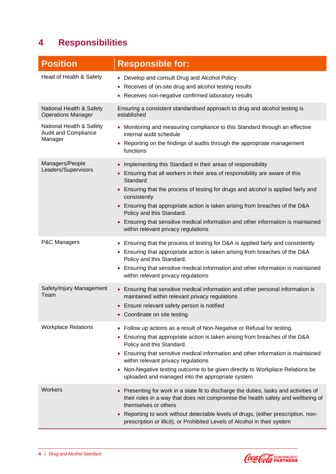## <span id="page-5-0"></span>**4 Responsibilities**

| <b>Position</b>                                                    | <b>Responsible for:</b>                                                                                                                                                                                                                                                                                                                                                                                                                                                                                            |
|--------------------------------------------------------------------|--------------------------------------------------------------------------------------------------------------------------------------------------------------------------------------------------------------------------------------------------------------------------------------------------------------------------------------------------------------------------------------------------------------------------------------------------------------------------------------------------------------------|
| Head of Health & Safety                                            | • Develop and consult Drug and Alcohol Policy<br>Receives of on-site drug and alcohol testing results<br>Receives non-negative confirmed laboratory results                                                                                                                                                                                                                                                                                                                                                        |
| National Health & Safety<br><b>Operations Manager</b>              | Ensuring a consistent standardised approach to drug and alcohol testing is<br>established                                                                                                                                                                                                                                                                                                                                                                                                                          |
| National Health & Safety<br><b>Audit and Compliance</b><br>Manager | • Monitoring and measuring compliance to this Standard through an effective<br>internal audit schedule<br>Reporting on the findings of audits through the appropriate management<br>$\bullet$<br>functions                                                                                                                                                                                                                                                                                                         |
| Managers/People<br>Leaders/Supervisors                             | Implementing this Standard in their areas of responsibility<br>• Ensuring that all workers in their area of responsibility are aware of this<br>Standard<br>• Ensuring that the process of testing for drugs and alcohol is applied fairly and<br>consistently<br>• Ensuring that appropriate action is taken arising from breaches of the D&A<br>Policy and this Standard.<br>Ensuring that sensitive medical information and other information is maintained<br>$\bullet$<br>within relevant privacy regulations |
| P&C Managers                                                       | • Ensuring that the process of testing for D&A is applied fairly and consistently<br>• Ensuring that appropriate action is taken arising from breaches of the D&A<br>Policy and this Standard.<br>Ensuring that sensitive medical information and other information is maintained<br>within relevant privacy regulations                                                                                                                                                                                           |
| Safety/Injury Management<br>Team                                   | • Ensuring that sensitive medical information and other personal information is<br>maintained within relevant privacy regulations<br>• Ensure relevant safety person is notified<br>• Coordinate on site testing                                                                                                                                                                                                                                                                                                   |
| <b>Workplace Relations</b>                                         | • Follow up actions as a result of Non-Negative or Refusal for testing.<br>• Ensuring that appropriate action is taken arising from breaches of the D&A<br>Policy and this Standard.<br>• Ensuring that sensitive medical information and other information is maintained<br>within relevant privacy regulations<br>Non-Negative testing outcome to be given directly to Workplace Relations be<br>uploaded and managed into the appropriate system                                                                |
| Workers                                                            | • Presenting for work in a state fit to discharge the duties, tasks and activities of<br>their roles in a way that does not compromise the health safety and wellbeing of<br>themselves or others<br>Reporting to work without detectable levels of drugs, (either prescription, non-<br>prescription or illicit), or Prohibited Levels of Alcohol in their system                                                                                                                                                 |

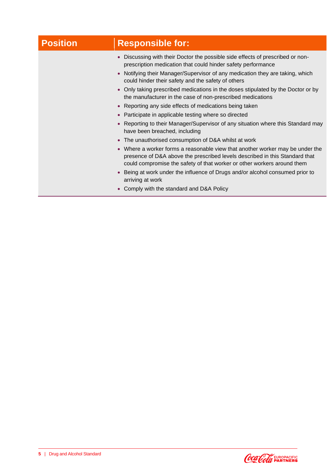# **Position Responsible for:**

- Discussing with their Doctor the possible side effects of prescribed or nonprescription medication that could hinder safety performance
- Notifying their Manager/Supervisor of any medication they are taking, which could hinder their safety and the safety of others
- Only taking prescribed medications in the doses stipulated by the Doctor or by the manufacturer in the case of non-prescribed medications
- Reporting any side effects of medications being taken
- Participate in applicable testing where so directed
- Reporting to their Manager/Supervisor of any situation where this Standard may have been breached, including
- The unauthorised consumption of D&A whilst at work
- Where a worker forms a reasonable view that another worker may be under the presence of D&A above the prescribed levels described in this Standard that could compromise the safety of that worker or other workers around them
- Being at work under the influence of Drugs and/or alcohol consumed prior to arriving at work
- Comply with the standard and D&A Policy

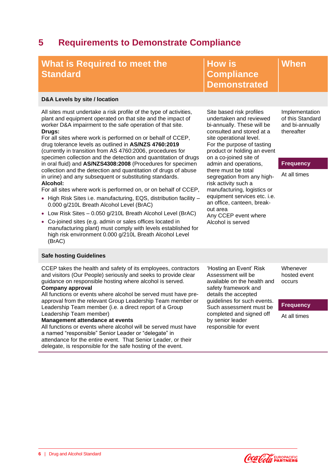## <span id="page-7-0"></span>**5 Requirements to Demonstrate Compliance**

| What is Required to meet the<br><b>Standard</b>                                                                                                                                                                                                                                                                                                                                                                                                                                                                                                                                                                                                                                                                                                                                                                                                                                                                                                                                                                                                                                                                                     | <b>How is</b><br><b>Compliance</b><br><b>Demonstrated</b>                                                                                                                                                                                                                                                                                                                                                                                                                                    | When                                                                                                    |
|-------------------------------------------------------------------------------------------------------------------------------------------------------------------------------------------------------------------------------------------------------------------------------------------------------------------------------------------------------------------------------------------------------------------------------------------------------------------------------------------------------------------------------------------------------------------------------------------------------------------------------------------------------------------------------------------------------------------------------------------------------------------------------------------------------------------------------------------------------------------------------------------------------------------------------------------------------------------------------------------------------------------------------------------------------------------------------------------------------------------------------------|----------------------------------------------------------------------------------------------------------------------------------------------------------------------------------------------------------------------------------------------------------------------------------------------------------------------------------------------------------------------------------------------------------------------------------------------------------------------------------------------|---------------------------------------------------------------------------------------------------------|
| D&A Levels by site / location                                                                                                                                                                                                                                                                                                                                                                                                                                                                                                                                                                                                                                                                                                                                                                                                                                                                                                                                                                                                                                                                                                       |                                                                                                                                                                                                                                                                                                                                                                                                                                                                                              |                                                                                                         |
| All sites must undertake a risk profile of the type of activities,<br>plant and equipment operated on that site and the impact of<br>worker D&A impairment to the safe operation of that site.<br>Drugs:<br>For all sites where work is performed on or behalf of CCEP,<br>drug tolerance levels as outlined in AS/NZS 4760:2019<br>(currently in transition from AS 4760:2006, procedures for<br>specimen collection and the detection and quantitation of drugs<br>in oral fluid) and AS/NZS4308:2008 (Procedures for specimen<br>collection and the detection and quantitation of drugs of abuse<br>in urine) and any subsequent or substituting standards.<br>Alcohol:<br>For all sites where work is performed on, or on behalf of CCEP,<br>• High Risk Sites i.e. manufacturing, EQS, distribution facility -<br>0.000 g/210L Breath Alcohol Level (BrAC)<br>• Low Risk Sites - 0.050 g/210L Breath Alcohol Level (BrAC)<br>Co-joined sites (e.g. admin or sales offices located in<br>٠<br>manufacturing plant) must comply with levels established for<br>high risk environment 0.000 g/210L Breath Alcohol Level<br>(BrAC) | Site based risk profiles<br>undertaken and reviewed<br>bi-annually. These will be<br>consulted and stored at a<br>site operational level.<br>For the purpose of tasting<br>product or holding an event<br>on a co-joined site of<br>admin and operations,<br>there must be total<br>segregation from any high-<br>risk activity such a<br>manufacturing, logistics or<br>equipment services etc. i.e.<br>an office, canteen, break-<br>out area<br>Any CCEP event where<br>Alcohol is served | Implementation<br>of this Standard<br>and bi-annually<br>thereafter<br><b>Frequency</b><br>At all times |
| <b>Safe hosting Guidelines</b>                                                                                                                                                                                                                                                                                                                                                                                                                                                                                                                                                                                                                                                                                                                                                                                                                                                                                                                                                                                                                                                                                                      |                                                                                                                                                                                                                                                                                                                                                                                                                                                                                              |                                                                                                         |
| CCEP takes the health and safety of its employees, contractors<br>and visitors (Our People) seriously and seeks to provide clear<br>guidance on responsible hosting where alcohol is served.<br>Company approval                                                                                                                                                                                                                                                                                                                                                                                                                                                                                                                                                                                                                                                                                                                                                                                                                                                                                                                    | 'Hosting an Event' Risk<br>Assessment will be<br>available on the health and<br>safety framework and                                                                                                                                                                                                                                                                                                                                                                                         | Whenever<br>hosted event<br>occurs                                                                      |

#### **Company approval**

All functions or events where alcohol be served must have preapproval from the relevant Group Leadership Team member or Leadership Team member (i.e. a direct report of a Group Leadership Team member)

#### **Management attendance at events**

All functions or events where alcohol will be served must have a named "responsible" Senior Leader or "delegate" in attendance for the entire event. That Senior Leader, or their delegate, is responsible for the safe hosting of the event.

ny framework and details the accepted guidelines for such events. Such assessment must be completed and signed off by senior leader responsible for event

#### **Frequency**

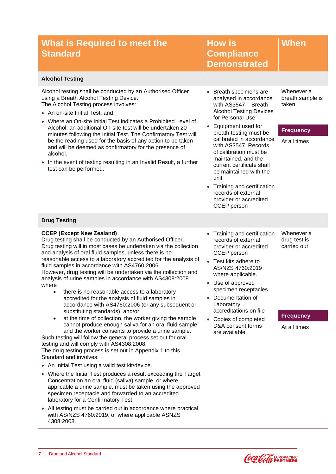|                 |  |  | What is Required to meet the |  |
|-----------------|--|--|------------------------------|--|
| <b>Standard</b> |  |  |                              |  |

**How is Compliance Demonstrated**

#### **Alcohol Testing**

Alcohol testing shall be conducted by an Authorised Officer using a Breath Alcohol Testing Device. The Alcohol Testing process involves:

- An on-site Initial Test: and
- Where an On-site Initial Test indicates a Prohibited Level of Alcohol, an additional On-site test will be undertaken 20 minutes following the Initial Test. The Confirmatory Test will be the reading used for the basis of any action to be taken and will be deemed as confirmatory for the presence of alcohol.
- In the event of testing resulting in an Invalid Result, a further test can be performed.
- Breath specimens are analysed in accordance with AS3547 – Breath Alcohol Testing Devices for Personal Use
- Equipment used for breath testing must be calibrated in accordance with AS3547. Records of calibration must be maintained, and the current certificate shall be maintained with the unit
- Training and certification records of external provider or accredited CCEP person

Whenever a breath sample is taken

**When**

#### **Frequency**

At all times

#### **Drug Testing**

#### **CCEP (Except New Zealand)**

Drug testing shall be conducted by an Authorised Officer. Drug testing will in most cases be undertaken via the collection and analysis of oral fluid samples, unless there is no reasonable access to a laboratory accredited for the analysis of fluid samples in accordance with AS4760:2006. However, drug testing will be undertaken via the collection and

analysis of urine samples in accordance with AS4308:2008 where

- there is no reasonable access to a laboratory accredited for the analysis of fluid samples in accordance with AS4760:2006 (or any subsequent or substituting standards), and/or
- at the time of collection, the worker giving the sample cannot produce enough saliva for an oral fluid sample and the worker consents to provide a urine sample.

Such testing will follow the general process set out for oral testing and will comply with AS4308:2008. The drug testing process is set out in Appendix 1 to this Standard and involves:

• An Initial Test using a valid test kit/device.

**7** | Drug and Alcohol Standard

- Where the Initial Test produces a result exceeding the Target Concentration an oral fluid (saliva) sample, or where applicable a urine sample, must be taken using the approved specimen receptacle and forwarded to an accredited laboratory for a Confirmatory Test.
- All testing must be carried out in accordance where practical, with AS/NZS 4760:2019, or where applicable ASNZS 4308:2008.
- Training and certification records of external provider or accredited CCEP person
- Test kits adhere to AS/NZS 4760:2019 where applicable.
- Use of approved specimen receptacles
- Documentation of Laboratory accreditations on file
- Copies of completed D&A consent forms are available

drug test is carried out

Whenever a

#### **Frequency**



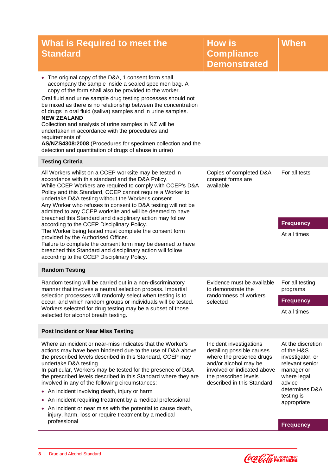| What is Required to meet the<br><b>Standard</b>                                                                                                                                                                                                                                                                                                                                                                                                                                                                                                                                                                                                          | <b>How is</b><br><b>Compliance</b><br><b>Demonstrated</b>                                                                                                                                       | When                                                                                                                            |
|----------------------------------------------------------------------------------------------------------------------------------------------------------------------------------------------------------------------------------------------------------------------------------------------------------------------------------------------------------------------------------------------------------------------------------------------------------------------------------------------------------------------------------------------------------------------------------------------------------------------------------------------------------|-------------------------------------------------------------------------------------------------------------------------------------------------------------------------------------------------|---------------------------------------------------------------------------------------------------------------------------------|
| The original copy of the D&A, 1 consent form shall<br>accompany the sample inside a sealed specimen bag. A<br>copy of the form shall also be provided to the worker.<br>Oral fluid and urine sample drug testing processes should not<br>be mixed as there is no relationship between the concentration<br>of drugs in oral fluid (saliva) samples and in urine samples.<br><b>NEW ZEALAND</b><br>Collection and analysis of urine samples in NZ will be<br>undertaken in accordance with the procedures and<br>requirements of<br>AS/NZS4308:2008 (Procedures for specimen collection and the<br>detection and quantitation of drugs of abuse in urine) |                                                                                                                                                                                                 |                                                                                                                                 |
| <b>Testing Criteria</b>                                                                                                                                                                                                                                                                                                                                                                                                                                                                                                                                                                                                                                  |                                                                                                                                                                                                 |                                                                                                                                 |
| All Workers whilst on a CCEP worksite may be tested in<br>accordance with this standard and the D&A Policy.<br>While CCEP Workers are required to comply with CCEP's D&A<br>Policy and this Standard, CCEP cannot require a Worker to<br>undertake D&A testing without the Worker's consent.<br>Any Worker who refuses to consent to D&A testing will not be<br>admitted to any CCEP worksite and will be deemed to have<br>breached this Standard and disciplinary action may follow                                                                                                                                                                    | Copies of completed D&A<br>consent forms are<br>available                                                                                                                                       | For all tests                                                                                                                   |
| according to the CCEP Disciplinary Policy.<br>The Worker being tested must complete the consent form<br>provided by the Authorised Officer.<br>Failure to complete the consent form may be deemed to have<br>breached this Standard and disciplinary action will follow<br>according to the CCEP Disciplinary Policy.                                                                                                                                                                                                                                                                                                                                    |                                                                                                                                                                                                 | <b>Frequency</b><br>At all times                                                                                                |
| <b>Random Testing</b>                                                                                                                                                                                                                                                                                                                                                                                                                                                                                                                                                                                                                                    |                                                                                                                                                                                                 |                                                                                                                                 |
| Random testing will be carried out in a non-discriminatory<br>manner that involves a neutral selection process. Impartial<br>selection processes will randomly select when testing is to                                                                                                                                                                                                                                                                                                                                                                                                                                                                 | Evidence must be available<br>to demonstrate the<br>randomness of workers                                                                                                                       | For all testing<br>programs                                                                                                     |
| occur, and which random groups or individuals will be tested.<br>Workers selected for drug testing may be a subset of those<br>selected for alcohol breath testing.                                                                                                                                                                                                                                                                                                                                                                                                                                                                                      | selected                                                                                                                                                                                        | <b>Frequency</b><br>At all times                                                                                                |
| <b>Post Incident or Near Miss Testing</b>                                                                                                                                                                                                                                                                                                                                                                                                                                                                                                                                                                                                                |                                                                                                                                                                                                 |                                                                                                                                 |
| Where an incident or near-miss indicates that the Worker's<br>actions may have been hindered due to the use of D&A above<br>the prescribed levels described in this Standard, CCEP may<br>undertake D&A testing.<br>In particular, Workers may be tested for the presence of D&A<br>the prescribed levels described in this Standard where they are<br>involved in any of the following circumstances:<br>• An incident involving death, injury or harm                                                                                                                                                                                                  | Incident investigations<br>detailing possible causes<br>where the presence drugs<br>and/or alcohol may be<br>involved or indicated above<br>the prescribed levels<br>described in this Standard | At the discretion<br>of the H&S<br>investigator, or<br>relevant senior<br>manager or<br>where legal<br>advice<br>determines D&A |
| • An incident requiring treatment by a medical professional                                                                                                                                                                                                                                                                                                                                                                                                                                                                                                                                                                                              |                                                                                                                                                                                                 | testing is                                                                                                                      |
| • An incident or near miss with the potential to cause death,<br>injury, harm, loss or require treatment by a medical<br>professional                                                                                                                                                                                                                                                                                                                                                                                                                                                                                                                    |                                                                                                                                                                                                 | appropriate                                                                                                                     |
|                                                                                                                                                                                                                                                                                                                                                                                                                                                                                                                                                                                                                                                          |                                                                                                                                                                                                 | <b>Frequency</b>                                                                                                                |

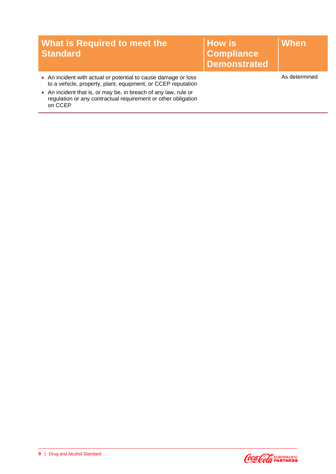| <b>What is Required to meet the</b><br><b>Standard</b>                                                                                      | <b>How is</b><br><b>Compliance</b><br><b>Demonstrated</b> | When          |
|---------------------------------------------------------------------------------------------------------------------------------------------|-----------------------------------------------------------|---------------|
| • An incident with actual or potential to cause damage or loss<br>to a vehicle, property, plant, equipment, or CCEP reputation              |                                                           | As determined |
| • An incident that is, or may be, in breach of any law, rule or<br>regulation or any contractual requirement or other obligation<br>on CCEP |                                                           |               |

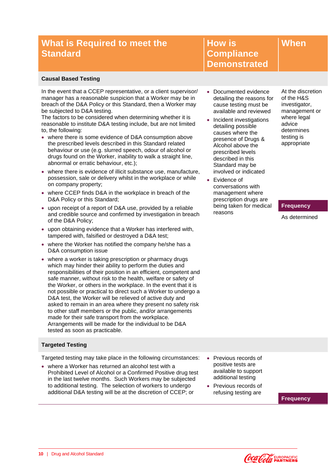**How is Compliance Demonstrated**

#### **Causal Based Testing**

In the event that a CCEP representative, or a client supervisor/ manager has a reasonable suspicion that a Worker may be in breach of the D&A Policy or this Standard, then a Worker may be subjected to D&A testing.

The factors to be considered when determining whether it is reasonable to institute D&A testing include, but are not limited to, the following:

- where there is some evidence of D&A consumption above the prescribed levels described in this Standard related behaviour or use (e.g. slurred speech, odour of alcohol or drugs found on the Worker, inability to walk a straight line, abnormal or erratic behaviour, etc.);
- where there is evidence of illicit substance use, manufacture, possession, sale or delivery whilst in the workplace or while on company property;
- where CCEP finds D&A in the workplace in breach of the D&A Policy or this Standard;
- upon receipt of a report of D&A use, provided by a reliable and credible source and confirmed by investigation in breach of the D&A Policy;
- upon obtaining evidence that a Worker has interfered with, tampered with, falsified or destroyed a D&A test;
- where the Worker has notified the company he/she has a D&A consumption issue
- where a worker is taking prescription or pharmacy drugs which may hinder their ability to perform the duties and responsibilities of their position in an efficient, competent and safe manner, without risk to the health, welfare or safety of the Worker, or others in the workplace. In the event that it is not possible or practical to direct such a Worker to undergo a D&A test, the Worker will be relieved of active duty and asked to remain in an area where they present no safety risk to other staff members or the public, and/or arrangements made for their safe transport from the workplace. Arrangements will be made for the individual to be D&A tested as soon as practicable.

#### **Targeted Testing**

Targeted testing may take place in the following circumstances:

• where a Worker has returned an alcohol test with a Prohibited Level of Alcohol or a Confirmed Positive drug test in the last twelve months. Such Workers may be subjected to additional testing. The selection of workers to undergo additional D&A testing will be at the discretion of CCEP; or

- Documented evidence detailing the reasons for cause testing must be available and reviewed
- Incident investigations detailing possible causes where the presence of Drugs & Alcohol above the prescribed levels described in this Standard may be involved or indicated
- Evidence of conversations with management where prescription drugs are being taken for medical reasons

At the discretion of the H&S investigator, management or where legal advice determines testing is appropriate

**When**

#### **Frequency**

As determined

• Previous records of positive tests are available to support additional testing

• Previous records of refusing testing are

**Frequency**

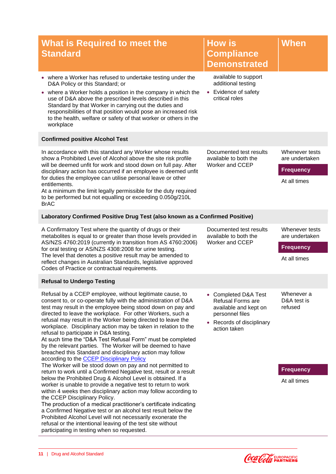| <b>What is Required to meet the</b><br><b>Standard</b>                                                                                                                                                                                                                                                                                                                                                                                                                                                                                                                                                                                                                                 | <b>How is</b><br><b>Compliance</b><br><b>Demonstrated</b>                                                                                              | When                                                                 |
|----------------------------------------------------------------------------------------------------------------------------------------------------------------------------------------------------------------------------------------------------------------------------------------------------------------------------------------------------------------------------------------------------------------------------------------------------------------------------------------------------------------------------------------------------------------------------------------------------------------------------------------------------------------------------------------|--------------------------------------------------------------------------------------------------------------------------------------------------------|----------------------------------------------------------------------|
| • where a Worker has refused to undertake testing under the<br>D&A Policy or this Standard; or<br>where a Worker holds a position in the company in which the<br>use of D&A above the prescribed levels described in this<br>Standard by that Worker in carrying out the duties and<br>responsibilities of that position would pose an increased risk<br>to the health, welfare or safety of that worker or others in the<br>workplace                                                                                                                                                                                                                                                 | available to support<br>additional testing<br>Evidence of safety<br>$\bullet$<br>critical roles                                                        |                                                                      |
| <b>Confirmed positive Alcohol Test</b>                                                                                                                                                                                                                                                                                                                                                                                                                                                                                                                                                                                                                                                 |                                                                                                                                                        |                                                                      |
| In accordance with this standard any Worker whose results<br>show a Prohibited Level of Alcohol above the site risk profile<br>will be deemed unfit for work and stood down on full pay. After<br>disciplinary action has occurred if an employee is deemed unfit<br>for duties the employee can utilise personal leave or other<br>entitlements.<br>At a minimum the limit legally permissible for the duty required<br>to be performed but not equalling or exceeding 0.050g/210L<br><b>BrAC</b>                                                                                                                                                                                     | Documented test results<br>available to both the<br><b>Worker and CCEP</b>                                                                             | Whenever tests<br>are undertaken<br><b>Frequency</b><br>At all times |
| Laboratory Confirmed Positive Drug Test (also known as a Confirmed Positive)                                                                                                                                                                                                                                                                                                                                                                                                                                                                                                                                                                                                           |                                                                                                                                                        |                                                                      |
| A Confirmatory Test where the quantity of drugs or their<br>metabolites is equal to or greater than those levels provided in<br>AS/NZS 4760:2019 (currently in transition from AS 4760:2006)<br>for oral testing or AS/NZS 4308:2008 for urine testing.<br>The level that denotes a positive result may be amended to<br>reflect changes in Australian Standards, legislative approved<br>Codes of Practice or contractual requirements.                                                                                                                                                                                                                                               | Documented test results<br>available to both the<br>Worker and CCEP                                                                                    | Whenever tests<br>are undertaken<br><b>Frequency</b><br>At all times |
| <b>Refusal to Undergo Testing</b>                                                                                                                                                                                                                                                                                                                                                                                                                                                                                                                                                                                                                                                      |                                                                                                                                                        |                                                                      |
| Refusal by a CCEP employee, without legitimate cause, to<br>consent to, or co-operate fully with the administration of D&A<br>test may result in the employee being stood down on pay and<br>directed to leave the workplace. For other Workers, such a<br>refusal may result in the Worker being directed to leave the<br>workplace. Disciplinary action may be taken in relation to the<br>refusal to participate in D&A testing.<br>At such time the "D&A Test Refusal Form" must be completed<br>by the relevant parties. The Worker will be deemed to have<br>breached this Standard and disciplinary action may follow<br>according to the <b>CCEP Disciplinary Policy</b>       | <b>Completed D&amp;A Test</b><br>Refusal Forms are<br>available and kept on<br>personnel files<br>Records of disciplinary<br>$\bullet$<br>action taken | Whenever a<br>D&A test is<br>refused                                 |
| The Worker will be stood down on pay and not permitted to<br>return to work until a Confirmed Negative test, result or a result<br>below the Prohibited Drug & Alcohol Level is obtained. If a<br>worker is unable to provide a negative test to return to work<br>within 4 weeks then disciplinary action may follow according to<br>the CCEP Disciplinary Policy.<br>The production of a medical practitioner's certificate indicating<br>a Confirmed Negative test or an alcohol test result below the<br>Prohibited Alcohol Level will not necessarily exonerate the<br>refusal or the intentional leaving of the test site without<br>participating in testing when so requested. |                                                                                                                                                        | <b>Frequency</b><br>At all times                                     |

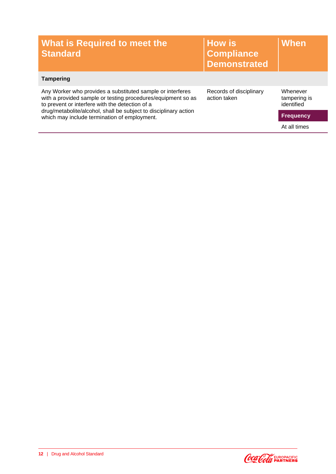| What is Required to meet the<br><b>Standard</b>                                                                                                                               | <b>How is</b><br><b>Compliance</b><br><b>Demonstrated</b> | <b>When</b>                            |
|-------------------------------------------------------------------------------------------------------------------------------------------------------------------------------|-----------------------------------------------------------|----------------------------------------|
| <b>Tampering</b>                                                                                                                                                              |                                                           |                                        |
| Any Worker who provides a substituted sample or interferes<br>with a provided sample or testing procedures/equipment so as<br>to prevent or interfere with the detection of a | Records of disciplinary<br>action taken                   | Whenever<br>tampering is<br>identified |
| drug/metabolite/alcohol, shall be subject to disciplinary action<br>which may include termination of employment.                                                              |                                                           | <b>Frequency</b>                       |
|                                                                                                                                                                               |                                                           | At all times                           |

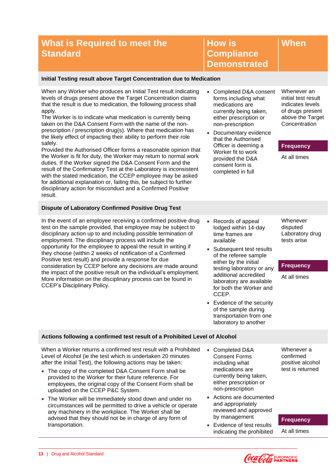**How is Compliance Demonstrated**

#### **Initial Testing result above Target Concentration due to Medication**

When any Worker who produces an Initial Test result indicating levels of drugs present above the Target Concentration claims that the result is due to medication, the following process shall apply.

The Worker is to indicate what medication is currently being taken on the D&A Consent Form with the name of the nonprescription / prescription drug(s). Where that medication has the likely effect of impacting their ability to perform their role safely.

Provided the Authorised Officer forms a reasonable opinion that the Worker is fit for duty, the Worker may return to normal work duties. If the Worker signed the D&A Consent Form and the result of the Confirmatory Test at the Laboratory is inconsistent with the stated medication, the CCEP employee may be asked for additional explanation or, failing this, be subject to further disciplinary action for misconduct and a Confirmed Positive result.

#### **Dispute of Laboratory Confirmed Positive Drug Test**

In the event of an employee receiving a confirmed positive drug test on the sample provided, that employee may be subject to disciplinary action up to and including possible termination of employment. The disciplinary process will include the opportunity for the employee to appeal the result in writing if they choose (within 2 weeks of notification of a Confirmed Positive test result) and provide a response for due consideration by CCEP before any decisions are made around the impact of the positive result on the individual's employment. More information on the disciplinary process can be found in CCEP's Disciplinary Policy.

- Completed D&A consent forms including what medications are currently being taken, either prescription or non-prescription
- Documentary evidence that the Authorised Officer is deeming a Worker fit to work provided the D&A consent form is completed in full

Whenever an initial test result indicates levels of drugs present above the Target **Concentration** 

**When**

#### **Frequency**

At all times

- Records of appeal lodged within 14-day time frames are available
- Subsequent test results of the referee sample either by the initial testing laboratory or any additional accredited laboratory are available for both the Worker and CCEP.
- Evidence of the security of the sample during transportation from one laboratory to another

Whenever disputed Laboratory drug tests arise

#### **Frequency**

At all times

#### **Actions following a confirmed test result of a Prohibited Level of Alcohol**

When a Worker returns a confirmed test result with a Prohibited Level of Alcohol (ie the test which is undertaken 20 minutes after the Initial Test), the following actions may be taken:

- The copy of the completed D&A Consent Form shall be provided to the Worker for their future reference. For employees, the original copy of the Consent Form shall be uploaded on the CCEP P&C System.
- The Worker will be immediately stood down and under no circumstances will be permitted to drive a vehicle or operate any machinery in the workplace. The Worker shall be advised that they should not be in charge of any form of transportation.
- Completed D&A Consent Forms including what medications are currently being taken, either prescription or non-prescription
- Actions are documented and appropriately reviewed and approved by management
- Evidence of test results indicating the prohibited

#### Whenever a confirmed positive alcohol test is returned

#### **Frequency**

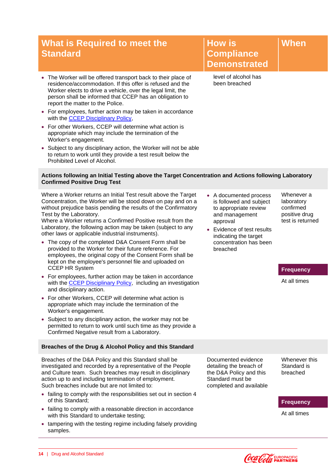- The Worker will be offered transport back to their place of residence/accommodation. If this offer is refused and the Worker elects to drive a vehicle, over the legal limit, the person shall be informed that CCEP has an obligation to report the matter to the Police.
- For employees, further action may be taken in accordance with the CCEP [Disciplinary Policy,](https://ccamatil1.sharepoint.com/sites/Refresh/WorkingAtAmatil/Policies/Australia/Disciplinary%20policy%20%2820%20Nov%202013%29.pdf)
- For other Workers, CCEP will determine what action is appropriate which may include the termination of the Worker's engagement.
- Subject to any disciplinary action, the Worker will not be able to return to work until they provide a test result below the Prohibited Level of Alcohol.

**Compliance Demonstrated**

**How is** 

level of alcohol has been breached

#### **Actions following an Initial Testing above the Target Concentration and Actions following Laboratory Confirmed Positive Drug Test**

Where a Worker returns an Initial Test result above the Target Concentration, the Worker will be stood down on pay and on a without prejudice basis pending the results of the Confirmatory Test by the Laboratory.

Where a Worker returns a Confirmed Positive result from the Laboratory, the following action may be taken (subject to any other laws or applicable industrial instruments).

- The copy of the completed D&A Consent Form shall be provided to the Worker for their future reference. For employees, the original copy of the Consent Form shall be kept on the employee's personnel file and uploaded on CCEP HR System
- For employees, further action may be taken in accordance with the CCEP [Disciplinary Policy,](https://ccamatil1.sharepoint.com/sites/Refresh/WorkingAtAmatil/Policies/Australia/Disciplinary%20policy%20%2820%20Nov%202013%29.pdf) including an investigation and disciplinary action.
- For other Workers, CCEP will determine what action is appropriate which may include the termination of the Worker's engagement.
- Subject to any disciplinary action, the worker may not be permitted to return to work until such time as they provide a Confirmed Negative result from a Laboratory.

#### **Breaches of the Drug & Alcohol Policy and this Standard**

Breaches of the D&A Policy and this Standard shall be investigated and recorded by a representative of the People and Culture team. Such breaches may result in disciplinary action up to and including termination of employment. Such breaches include but are not limited to:

- failing to comply with the responsibilities set out in section 4 of this Standard;
- failing to comply with a reasonable direction in accordance with this Standard to undertake testing;
- tampering with the testing regime including falsely providing samples.

• A documented process is followed and subject to appropriate review and management approval

• Evidence of test results indicating the target concentration has been breached

Whenever a laboratory confirmed positive drug test is returned

**When**

#### **Frequency**

At all times

Documented evidence detailing the breach of the D&A Policy and this Standard must be completed and available Whenever this Standard is breached

**Frequency**

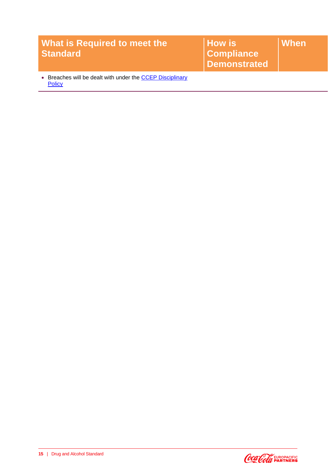| <b>What is Required to meet the</b><br><b>Standard</b>                   | <b>How is</b><br><b>Compliance</b><br>Demonstrated | When |
|--------------------------------------------------------------------------|----------------------------------------------------|------|
| Breaches will be dealt with under the CCEP Disciplinary<br><b>Policy</b> |                                                    |      |

**15** | Drug and Alcohol Standard

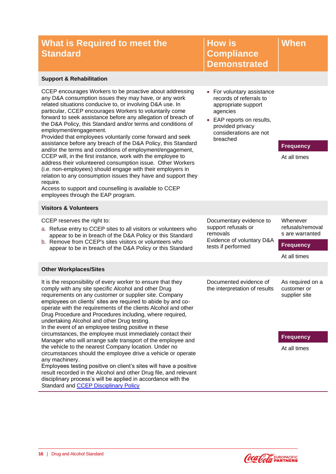**How is Compliance Demonstrated**

#### **Support & Rehabilitation**

CCEP encourages Workers to be proactive about addressing any D&A consumption issues they may have, or any work related situations conducive to, or involving D&A use. In particular, CCEP encourages Workers to voluntarily come forward to seek assistance before any allegation of breach of the D&A Policy, this Standard and/or terms and conditions of employment/engagement.

Provided that employees voluntarily come forward and seek assistance before any breach of the D&A Policy, this Standard and/or the terms and conditions of employment/engagement, CCEP will, in the first instance, work with the employee to address their volunteered consumption issue. Other Workers (i.e. non-employees) should engage with their employers in relation to any consumption issues they have and support they require.

Access to support and counselling is available to CCEP employees through the EAP program.

#### **Visitors & Volunteers**

CCEP reserves the right to:

- a. Refuse entry to CCEP sites to all visitors or volunteers who appear to be in breach of the D&A Policy or this Standard
- b. Remove from CCEP's sites visitors or volunteers who appear to be in breach of the D&A Policy or this Standard

#### **Other Workplaces/Sites**

It is the responsibility of every worker to ensure that they comply with any site specific Alcohol and other Drug requirements on any customer or supplier site. Company employees on clients' sites are required to abide by and cooperate with the requirements of the clients Alcohol and other Drug Procedure and Procedures including, where required, undertaking Alcohol and other Drug testing. In the event of an employee testing positive in these circumstances, the employee must immediately contact their Manager who will arrange safe transport of the employee and the vehicle to the nearest Company location. Under no circumstances should the employee drive a vehicle or operate any machinery. Employees testing positive on client's sites will have a positive

result recorded in the Alcohol and other Drug file, and relevant disciplinary process's will be applied in accordance with the Standard and CCEP [Disciplinary Policy](https://ccamatil1.sharepoint.com/sites/Refresh/WorkingAtAmatil/Policies/Australia/Disciplinary%20policy%20%2820%20Nov%202013%29.pdf)

records of referrals to appropriate support agencies • EAP reports on results,

• For voluntary assistance

provided privacy considerations are not breached

**Frequency**

**When**

At all times

Documentary evidence to support refusals or removals Evidence of voluntary D&A tests if performed

#### Whenever refusals/removal s are warranted

#### **Frequency**

At all times

Documented evidence of the interpretation of results As required on a customer or supplier site

**Frequency**

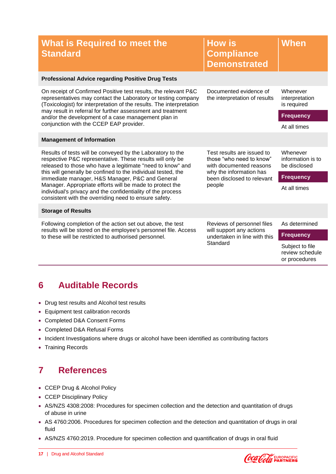| What is Required to meet the<br><b>Standard</b>                                                                                                                                                          | <b>How is</b><br><b>Compliance</b><br><b>Demonstrated</b>                                                                                            | When                                                |
|----------------------------------------------------------------------------------------------------------------------------------------------------------------------------------------------------------|------------------------------------------------------------------------------------------------------------------------------------------------------|-----------------------------------------------------|
| <b>Professional Advice regarding Positive Drug Tests</b>                                                                                                                                                 |                                                                                                                                                      |                                                     |
| On receipt of Confirmed Positive test results, the relevant P&C<br>representatives may contact the Laboratory or testing company<br>(Toxicologist) for interpretation of the results. The interpretation | Documented evidence of<br>the interpretation of results                                                                                              | Whenever<br>interpretation<br>is required           |
| may result in referral for further assessment and treatment<br>and/or the development of a case management plan in                                                                                       |                                                                                                                                                      | <b>Frequency</b>                                    |
| conjunction with the CCEP EAP provider.                                                                                                                                                                  |                                                                                                                                                      | At all times                                        |
| <b>Management of Information</b>                                                                                                                                                                         |                                                                                                                                                      |                                                     |
| Results of tests will be conveyed by the Laboratory to the<br>respective P&C representative. These results will only be<br>released to those who have a legitimate "need to know" and                    | Test results are issued to<br>those "who need to know"<br>with documented reasons<br>why the information has<br>been disclosed to relevant<br>people | Whenever<br>information is to<br>be disclosed       |
| this will generally be confined to the individual tested, the<br>immediate manager, H&S Manager, P&C and General                                                                                         |                                                                                                                                                      | <b>Frequency</b>                                    |
| Manager. Appropriate efforts will be made to protect the<br>individual's privacy and the confidentiality of the process<br>consistent with the overriding need to ensure safety.                         |                                                                                                                                                      | At all times                                        |
| <b>Storage of Results</b>                                                                                                                                                                                |                                                                                                                                                      |                                                     |
| Following completion of the action set out above, the test                                                                                                                                               | Reviews of personnel files<br>will support any actions<br>undertaken in line with this<br>Standard                                                   | As determined                                       |
| results will be stored on the employee's personnel file. Access<br>to these will be restricted to authorised personnel.                                                                                  |                                                                                                                                                      | <b>Frequency</b>                                    |
|                                                                                                                                                                                                          |                                                                                                                                                      | Subject to file<br>review schedule<br>or procedures |

## <span id="page-18-0"></span>**6 Auditable Records**

- Drug test results and Alcohol test results
- Equipment test calibration records
- Completed D&A Consent Forms
- Completed D&A Refusal Forms
- Incident Investigations where drugs or alcohol have been identified as contributing factors
- <span id="page-18-1"></span>• Training Records

## **7 References**

- CCEP Drug & Alcohol Policy
- CCEP Disciplinary Policy
- AS/NZS 4308:2008: Procedures for specimen collection and the detection and quantitation of drugs of abuse in urine
- AS 4760:2006. Procedures for specimen collection and the detection and quantitation of drugs in oral fluid
- AS/NZS 4760:2019. Procedure for specimen collection and quantification of drugs in oral fluid

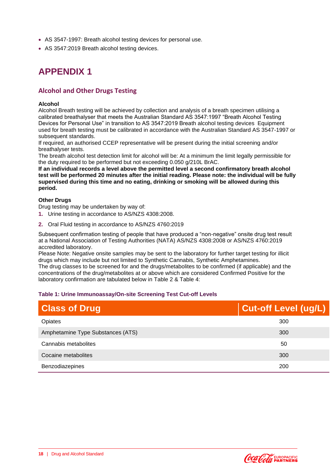- AS 3547-1997: Breath alcohol testing devices for personal use.
- <span id="page-19-0"></span>• AS 3547:2019 Breath alcohol testing devices.

## **APPENDIX 1**

#### <span id="page-19-1"></span>**Alcohol and Other Drugs Testing**

#### <span id="page-19-2"></span>**Alcohol**

Alcohol Breath testing will be achieved by collection and analysis of a breath specimen utilising a calibrated breathalyser that meets the Australian Standard AS 3547:1997 "Breath Alcohol Testing Devices for Personal Use" in transition to AS 3547:2019 Breath alcohol testing devices Equipment used for breath testing must be calibrated in accordance with the Australian Standard AS 3547-1997 or subsequent standards.

If required, an authorised CCEP representative will be present during the initial screening and/or breathalyser tests.

The breath alcohol test detection limit for alcohol will be: At a minimum the limit legally permissible for the duty required to be performed but not exceeding 0.050 g/210L BrAC.

**If an individual records a level above the permitted level a second confirmatory breath alcohol test will be performed 20 minutes after the initial reading. Please note: the individual will be fully supervised during this time and no eating, drinking or smoking will be allowed during this period.**

#### <span id="page-19-3"></span>**Other Drugs**

Drug testing may be undertaken by way of:

- **1.** Urine testing in accordance to AS/NZS 4308:2008.
- **2.** Oral Fluid testing in accordance to AS/NZS 4760:2019

Subsequent confirmation testing of people that have produced a "non-negative" onsite drug test result at a National Association of Testing Authorities (NATA) AS/NZS 4308:2008 or AS/NZS 4760:2019 accredited laboratory.

Please Note: Negative onsite samples may be sent to the laboratory for further target testing for illicit drugs which may include but not limited to Synthetic Cannabis, Synthetic Amphetamines. The drug classes to be screened for and the drugs/metabolites to be confirmed (if applicable) and the

concentrations of the drug/metabolites at or above which are considered Confirmed Positive for the laboratory confirmation are tabulated below in [Table 2](#page-20-0) & [Table 4:](#page-21-0)

#### **Table 1: Urine Immunoassay/On-site Screening Test Cut-off Levels**

| <b>Class of Drug</b>              | <b>Cut-off Level (ug/L)</b> |
|-----------------------------------|-----------------------------|
| Opiates                           | 300                         |
| Amphetamine Type Substances (ATS) | 300                         |
| Cannabis metabolites              | 50                          |
| Cocaine metabolites               | 300                         |
| Benzodiazepines                   | 200                         |

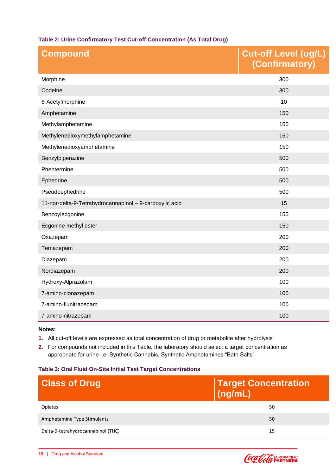#### <span id="page-20-0"></span>**Table 2: Urine Confirmatory Test Cut-off Concentration (As Total Drug)**

| <b>Compound</b>                                         | <b>Cut-off Level (ug/L)</b><br>(Confirmatory) |
|---------------------------------------------------------|-----------------------------------------------|
| Morphine                                                | 300                                           |
| Codeine                                                 | 300                                           |
| 6-Acetylmorphine                                        | 10                                            |
| Amphetamine                                             | 150                                           |
| Methylamphetamine                                       | 150                                           |
| Methylenedioxymethylamphetamine                         | 150                                           |
| Methylenedioxyamphetamine                               | 150                                           |
| Benzylpiperazine                                        | 500                                           |
| Phentermine                                             | 500                                           |
| Ephedrine                                               | 500                                           |
| Pseudoephedrine                                         | 500                                           |
| 11-nor-delta-9-Tetrahydrocannabinol - 9-carboxylic acid | 15                                            |
| Benzoylecgonine                                         | 150                                           |
| Ecgonine methyl ester                                   | 150                                           |
| Oxazepam                                                | 200                                           |
| Temazepam                                               | 200                                           |
| Diazepam                                                | 200                                           |
| Nordiazepam                                             | 200                                           |
| Hydroxy-Alprazolam                                      | 100                                           |
| 7-amino-clonazepam                                      | 100                                           |
| 7-amino-flunitrazepam                                   | 100                                           |
| 7-amino-nitrazepam                                      | 100                                           |

#### **Notes:**

- **1.** All cut-off levels are expressed as total concentration of drug or metabolite after hydrolysis
- **2.** For compounds not included in this Table, the laboratory should select a target concentration as appropriate for urine i.e. Synthetic Cannabis, Synthetic Amphetamines "Bath Salts"

#### **Table 3: Oral Fluid On-Site Initial Test Target Concentrations**

| <b>Class of Drug</b>               | <b>Target Concentration</b><br>$\sqrt{\frac{mg}{m}}$ |
|------------------------------------|------------------------------------------------------|
| <b>Opiates</b>                     | 50                                                   |
| Amphetamine Type Stimulants        | 50                                                   |
| Delta-9-tetrahydrocannabinol (THC) | 15                                                   |